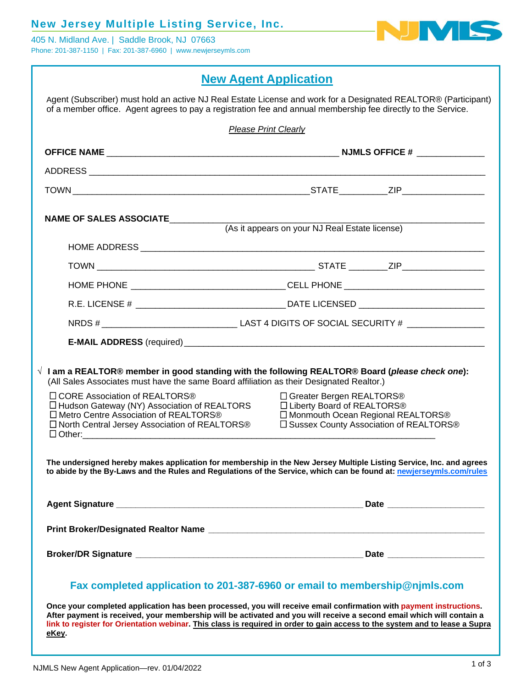## **New Jersey Multiple Listing Service, Inc.**

405 N. Midland Ave. | Saddle Brook, NJ 07663 Phone: 201-387-1150 | Fax: 201-387-6960 | www.newjerseymls.com



# **New Agent Application**

|                                                                                                                                                                                                                    | <b>Please Print Clearly</b>                                                                                                                                                                                                                                     |  |  |
|--------------------------------------------------------------------------------------------------------------------------------------------------------------------------------------------------------------------|-----------------------------------------------------------------------------------------------------------------------------------------------------------------------------------------------------------------------------------------------------------------|--|--|
|                                                                                                                                                                                                                    |                                                                                                                                                                                                                                                                 |  |  |
|                                                                                                                                                                                                                    |                                                                                                                                                                                                                                                                 |  |  |
|                                                                                                                                                                                                                    |                                                                                                                                                                                                                                                                 |  |  |
| NAME OF SALES ASSOCIATE__________                                                                                                                                                                                  | (As it appears on your NJ Real Estate license)                                                                                                                                                                                                                  |  |  |
|                                                                                                                                                                                                                    |                                                                                                                                                                                                                                                                 |  |  |
|                                                                                                                                                                                                                    |                                                                                                                                                                                                                                                                 |  |  |
|                                                                                                                                                                                                                    |                                                                                                                                                                                                                                                                 |  |  |
|                                                                                                                                                                                                                    |                                                                                                                                                                                                                                                                 |  |  |
|                                                                                                                                                                                                                    |                                                                                                                                                                                                                                                                 |  |  |
|                                                                                                                                                                                                                    | $\sqrt{ }$ I am a REALTOR® member in good standing with the following REALTOR® Board ( <i>please check one</i> ):<br>(All Sales Associates must have the same Board affiliation as their Designated Realtor.)                                                   |  |  |
| □ CORE Association of REALTORS <sup>®</sup><br>□ Hudson Gateway (NY) Association of REALTORS<br>□ Metro Centre Association of REALTORS <sup>®</sup><br>□ North Central Jersey Association of REALTORS <sup>®</sup> | □ Greater Bergen REALTORS <sup>®</sup><br>□ Liberty Board of REALTORS <sup>®</sup><br>□ Monmouth Ocean Regional REALTORS <sup>®</sup><br>□ Sussex County Association of REALTORS <sup>®</sup>                                                                   |  |  |
|                                                                                                                                                                                                                    | The undersigned hereby makes application for membership in the New Jersey Multiple Listing Service, Inc. and agrees<br>to abide by the By-Laws and the Rules and Regulations of the Service, which can be found at: newjerseymls.com/rules                      |  |  |
|                                                                                                                                                                                                                    | Agent Signature et al. 2016. The contract of the state of the state of the state of the state of the state of the state of the state of the state of the state of the state of the state of the state of the state of the stat<br>Date ________________________ |  |  |
|                                                                                                                                                                                                                    |                                                                                                                                                                                                                                                                 |  |  |
|                                                                                                                                                                                                                    |                                                                                                                                                                                                                                                                 |  |  |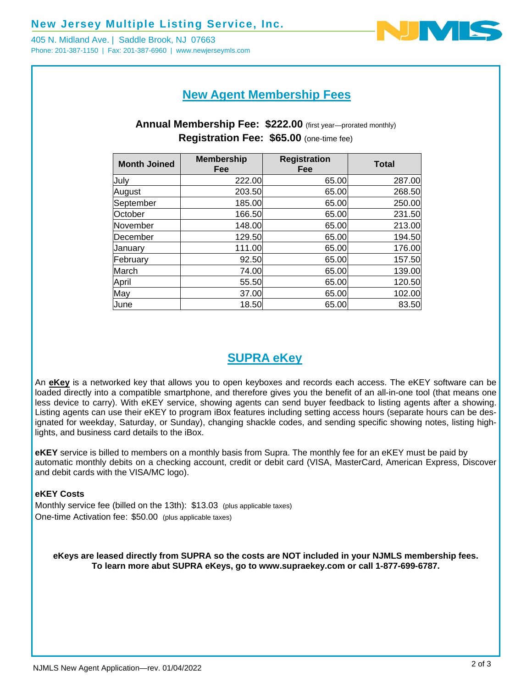405 N. Midland Ave. | Saddle Brook, NJ 07663 Phone: 201-387-1150 | Fax: 201-387-6960 | www.newjerseymls.com



# **New Agent Membership Fees**

### **Annual Membership Fee: \$222.00** (first year—prorated monthly) **Registration Fee: \$65.00** (one-time fee)

| <b>Month Joined</b> | <b>Membership</b><br>Fee | <b>Registration</b><br>Fee | <b>Total</b> |
|---------------------|--------------------------|----------------------------|--------------|
| July                | 222.00                   | 65.00                      | 287.00       |
| August              | 203.50                   | 65.00                      | 268.50       |
| September           | 185.00                   | 65.00                      | 250.00       |
| October             | 166.50                   | 65.00                      | 231.50       |
| November            | 148.00                   | 65.00                      | 213.00       |
| December            | 129.50                   | 65.00                      | 194.50       |
| January             | 111.00                   | 65.00                      | 176.00       |
| February            | 92.50                    | 65.00                      | 157.50       |
| March               | 74.00                    | 65.00                      | 139.00       |
| April               | 55.50                    | 65.00                      | 120.50       |
| May                 | 37.00                    | 65.00                      | 102.00       |
| June                | 18.50                    | 65.00                      | 83.50        |

# **SUPRA eKey**

An **eKey** is a networked key that allows you to open keyboxes and records each access. The eKEY software can be loaded directly into a compatible smartphone, and therefore gives you the benefit of an all-in-one tool (that means one less device to carry). With eKEY service, showing agents can send buyer feedback to listing agents after a showing. Listing agents can use their eKEY to program iBox features including setting access hours (separate hours can be designated for weekday, Saturday, or Sunday), changing shackle codes, and sending specific showing notes, listing highlights, and business card details to the iBox.

**eKEY** service is billed to members on a monthly basis from Supra. The monthly fee for an eKEY must be paid by automatic monthly debits on a checking account, credit or debit card (VISA, MasterCard, American Express, Discover and debit cards with the VISA/MC logo).

#### **eKEY Costs**

Monthly service fee (billed on the 13th): \$13.03 (plus applicable taxes) One-time Activation fee: \$50.00 (plus applicable taxes)

**eKeys are leased directly from SUPRA so the costs are NOT included in your NJMLS membership fees. To learn more abut SUPRA eKeys, go to www.supraekey.com or call 1-877-699-6787.**